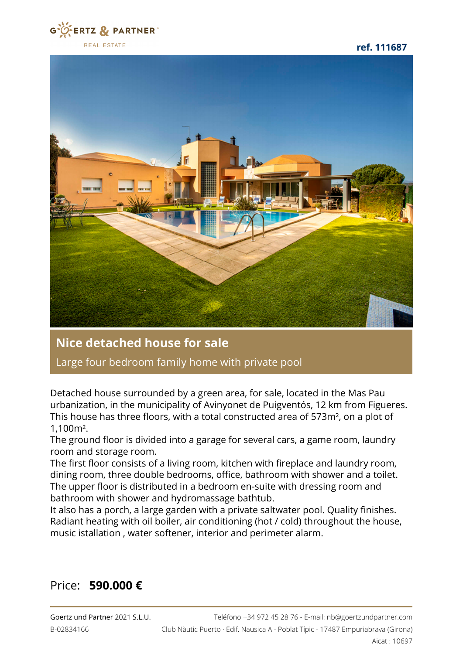

**ref. 111687**



## **Nice detached house for sale**

Large four bedroom family home with private pool

Detached house surrounded by a green area, for sale, located in the Mas Pau urbanization, in the municipality of Avinyonet de Puigventós, 12 km from Figueres. This house has three floors, with a total constructed area of 573m², on a plot of 1,100m².

The ground floor is divided into a garage for several cars, a game room, laundry room and storage room.

The first floor consists of a living room, kitchen with fireplace and laundry room, dining room, three double bedrooms, office, bathroom with shower and a toilet. The upper floor is distributed in a bedroom en-suite with dressing room and bathroom with shower and hydromassage bathtub.

It also has a porch, a large garden with a private saltwater pool. Quality finishes. Radiant heating with oil boiler, air conditioning (hot / cold) throughout the house, music istallation , water softener, interior and perimeter alarm.

## Price: **590.000 €**